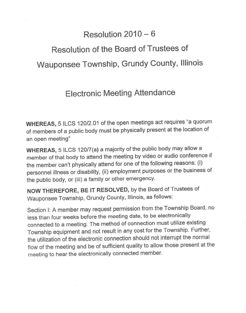## Resolution 2010 — 6

## Resolution of the Board of Trustees of Wauponsee Township, Grundy County, Illinois

## Electronic Meeting Attendance

**WHEREAS,** 5 ILCS 120/2.01 of the open meetings act requires "a quorum of members of a public body must be physically present at the location of an open meeting"

**WHEREAS,** 5 ILCS 120/7(a) a majority of the public body may allow a member of that body to attend the meeting by video or audio conference if the member can't physically attend for one of the following reasons: (i) personnel illness or disability, (ii) employment purposes or the business of the public body, or (iii) a family or other emergency.

**NOW THEREFORE, BE IT RESOLVED,** by the Board of Trustees of Wauponsee Township, Grundy County, Illinois, as follows:

Section I: A member may request permission from the Township Board, no less than four weeks before the meeting date, to be electronically connected to a meeting. The method of connection must utilize existing Township equipment and not result in any cost for the Township. Further, the utilization of the electronic connection should not interrupt the normal flow of the meeting and be of sufficient quality to allow those present at the meeting to hear the electronically connected member.